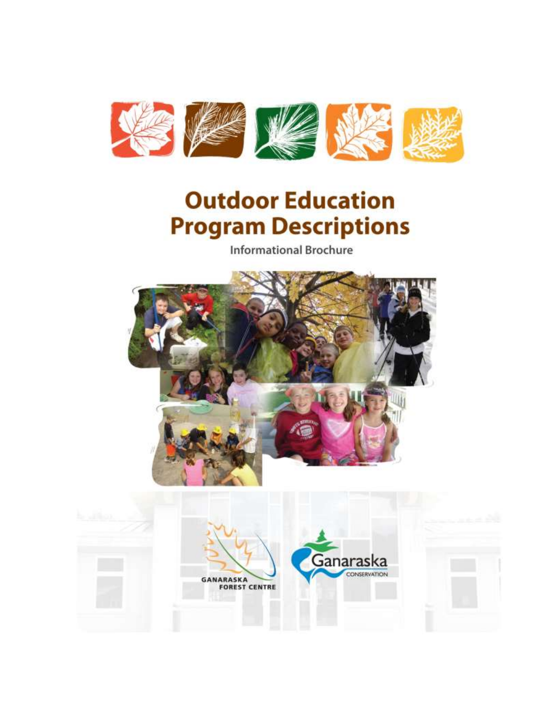

# **Outdoor Education Program Descriptions**

**Informational Brochure** 



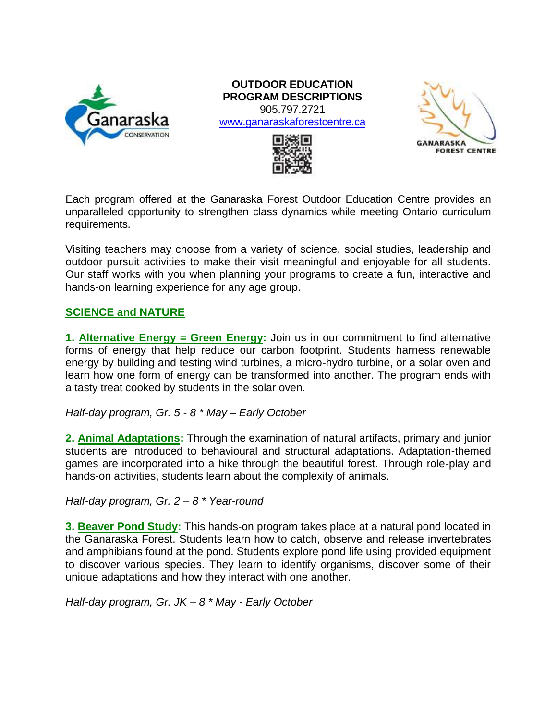

#### **OUTDOOR EDUCATION PROGRAM DESCRIPTIONS** 905.797.2721

[www.ganaraskaforestcentre.ca](http://www.ganaraskaforestcentre.ca/)





Each program offered at the Ganaraska Forest Outdoor Education Centre provides an unparalleled opportunity to strengthen class dynamics while meeting Ontario curriculum requirements.

Visiting teachers may choose from a variety of science, social studies, leadership and outdoor pursuit activities to make their visit meaningful and enjoyable for all students. Our staff works with you when planning your programs to create a fun, interactive and hands-on learning experience for any age group.

## **SCIENCE and NATURE**

**1. Alternative Energy = Green Energy:** Join us in our commitment to find alternative forms of energy that help reduce our carbon footprint. Students harness renewable energy by building and testing wind turbines, a micro-hydro turbine, or a solar oven and learn how one form of energy can be transformed into another. The program ends with a tasty treat cooked by students in the solar oven.

*Half-day program, Gr. 5 - 8 \* May – Early October*

**2. Animal Adaptations:** Through the examination of natural artifacts, primary and junior students are introduced to behavioural and structural adaptations. Adaptation-themed games are incorporated into a hike through the beautiful forest. Through role-play and hands-on activities, students learn about the complexity of animals.

*Half-day program, Gr. 2 – 8 \* Year-round*

**3. Beaver Pond Study:** This hands-on program takes place at a natural pond located in the Ganaraska Forest. Students learn how to catch, observe and release invertebrates and amphibians found at the pond. Students explore pond life using provided equipment to discover various species. They learn to identify organisms, discover some of their unique adaptations and how they interact with one another.

*Half-day program, Gr. JK – 8 \* May - Early October*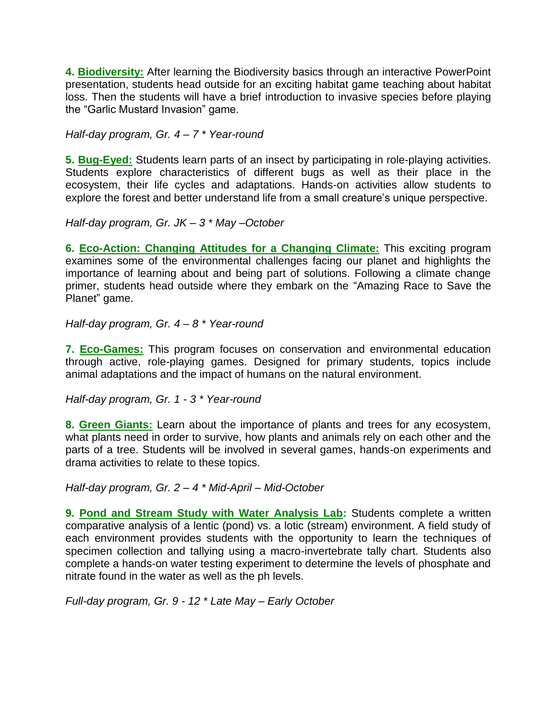**4. Biodiversity:** After learning the Biodiversity basics through an interactive PowerPoint presentation, students head outside for an exciting habitat game teaching about habitat loss. Then the students will have a brief introduction to invasive species before playing the "Garlic Mustard Invasion" game.

*Half-day program, Gr. 4 – 7 \* Year-round*

**5. Bug-Eyed:** Students learn parts of an insect by participating in role-playing activities. Students explore characteristics of different bugs as well as their place in the ecosystem, their life cycles and adaptations. Hands-on activities allow students to explore the forest and better understand life from a small creature's unique perspective.

*Half-day program, Gr. JK – 3 \* May –October*

**6. Eco-Action: Changing Attitudes for a Changing Climate:** This exciting program examines some of the environmental challenges facing our planet and highlights the importance of learning about and being part of solutions. Following a climate change primer, students head outside where they embark on the "Amazing Race to Save the Planet" game.

*Half-day program, Gr. 4 – 8 \* Year-round*

**7. Eco-Games:** This program focuses on conservation and environmental education through active, role-playing games. Designed for primary students, topics include animal adaptations and the impact of humans on the natural environment.

*Half-day program, Gr. 1 - 3 \* Year-round*

**8. Green Giants:** Learn about the importance of plants and trees for any ecosystem, what plants need in order to survive, how plants and animals rely on each other and the parts of a tree. Students will be involved in several games, hands-on experiments and drama activities to relate to these topics.

*Half-day program, Gr. 2 – 4 \* Mid-April – Mid-October*

**9. Pond and Stream Study with Water Analysis Lab:** Students complete a written comparative analysis of a lentic (pond) vs. a lotic (stream) environment. A field study of each environment provides students with the opportunity to learn the techniques of specimen collection and tallying using a macro-invertebrate tally chart. Students also complete a hands-on water testing experiment to determine the levels of phosphate and nitrate found in the water as well as the ph levels.

*Full-day program, Gr. 9 - 12 \* Late May – Early October*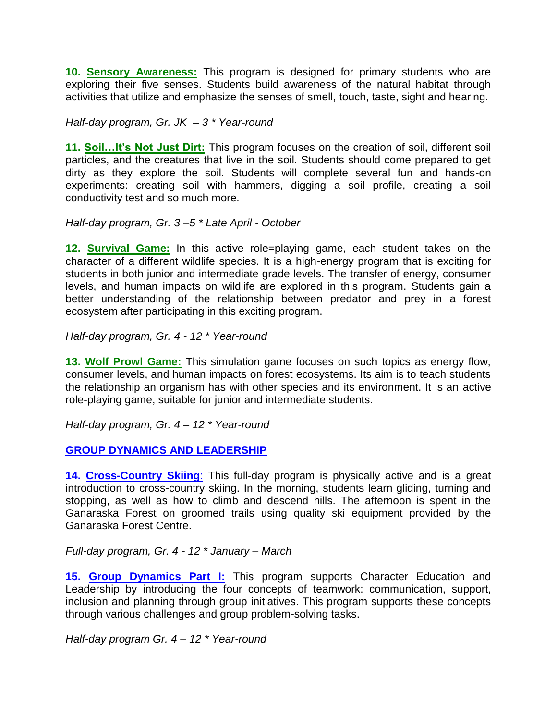**10. Sensory Awareness:** This program is designed for primary students who are exploring their five senses. Students build awareness of the natural habitat through activities that utilize and emphasize the senses of smell, touch, taste, sight and hearing.

*Half-day program, Gr. JK – 3 \* Year-round*

**11. Soil…It's Not Just Dirt:** This program focuses on the creation of soil, different soil particles, and the creatures that live in the soil. Students should come prepared to get dirty as they explore the soil. Students will complete several fun and hands-on experiments: creating soil with hammers, digging a soil profile, creating a soil conductivity test and so much more.

*Half-day program, Gr. 3 –5 \* Late April - October*

**12. Survival Game:** In this active role=playing game, each student takes on the character of a different wildlife species. It is a high-energy program that is exciting for students in both junior and intermediate grade levels. The transfer of energy, consumer levels, and human impacts on wildlife are explored in this program. Students gain a better understanding of the relationship between predator and prey in a forest ecosystem after participating in this exciting program.

*Half-day program, Gr. 4 - 12 \* Year-round*

**13. Wolf Prowl Game:** This simulation game focuses on such topics as energy flow, consumer levels, and human impacts on forest ecosystems. Its aim is to teach students the relationship an organism has with other species and its environment. It is an active role-playing game, suitable for junior and intermediate students.

*Half-day program, Gr. 4 – 12 \* Year-round*

**GROUP DYNAMICS AND LEADERSHIP**

**14. Cross-Country Skiing:** This full-day program is physically active and is a great introduction to cross-country skiing. In the morning, students learn gliding, turning and stopping, as well as how to climb and descend hills. The afternoon is spent in the Ganaraska Forest on groomed trails using quality ski equipment provided by the Ganaraska Forest Centre.

*Full-day program, Gr. 4 - 12 \* January – March*

15. Group Dynamics Part I: This program supports Character Education and Leadership by introducing the four concepts of teamwork: communication, support, inclusion and planning through group initiatives. This program supports these concepts through various challenges and group problem-solving tasks.

*Half-day program Gr. 4 – 12 \* Year-round*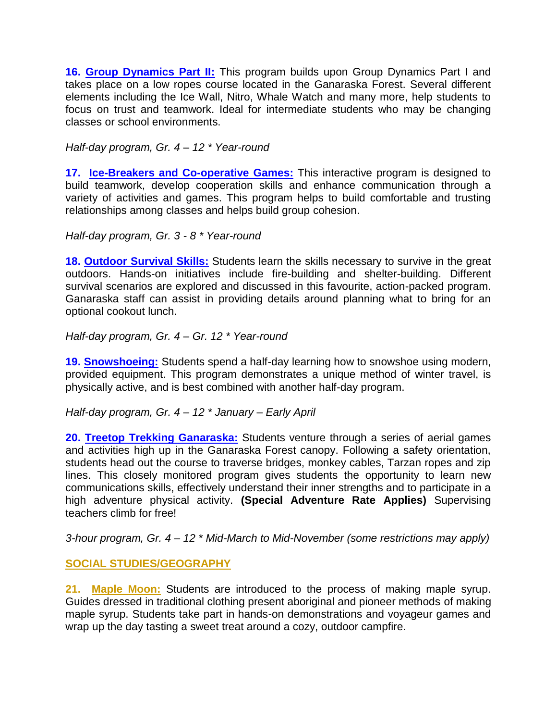16. **Group Dynamics Part II:** This program builds upon Group Dynamics Part I and takes place on a low ropes course located in the Ganaraska Forest. Several different elements including the Ice Wall, Nitro, Whale Watch and many more, help students to focus on trust and teamwork. Ideal for intermediate students who may be changing classes or school environments.

*Half-day program, Gr. 4 – 12 \* Year-round*

**17. Ice-Breakers and Co-operative Games:** This interactive program is designed to build teamwork, develop cooperation skills and enhance communication through a variety of activities and games. This program helps to build comfortable and trusting relationships among classes and helps build group cohesion.

*Half-day program, Gr. 3 - 8 \* Year-round*

**18. Outdoor Survival Skills:** Students learn the skills necessary to survive in the great outdoors. Hands-on initiatives include fire-building and shelter-building. Different survival scenarios are explored and discussed in this favourite, action-packed program. Ganaraska staff can assist in providing details around planning what to bring for an optional cookout lunch.

*Half-day program, Gr. 4 – Gr. 12 \* Year-round*

**19. Snowshoeing:** Students spend a half-day learning how to snowshoe using modern, provided equipment. This program demonstrates a unique method of winter travel, is physically active, and is best combined with another half-day program.

*Half-day program, Gr. 4 – 12 \* January – Early April*

**20. Treetop Trekking Ganaraska:** Students venture through a series of aerial games and activities high up in the Ganaraska Forest canopy. Following a safety orientation, students head out the course to traverse bridges, monkey cables, Tarzan ropes and zip lines. This closely monitored program gives students the opportunity to learn new communications skills, effectively understand their inner strengths and to participate in a high adventure physical activity. **(Special Adventure Rate Applies)** Supervising teachers climb for free!

*3-hour program, Gr. 4 – 12 \* Mid-March to Mid-November (some restrictions may apply)*

## **SOCIAL STUDIES/GEOGRAPHY**

**21. Maple Moon:** Students are introduced to the process of making maple syrup. Guides dressed in traditional clothing present aboriginal and pioneer methods of making maple syrup. Students take part in hands-on demonstrations and voyageur games and wrap up the day tasting a sweet treat around a cozy, outdoor campfire.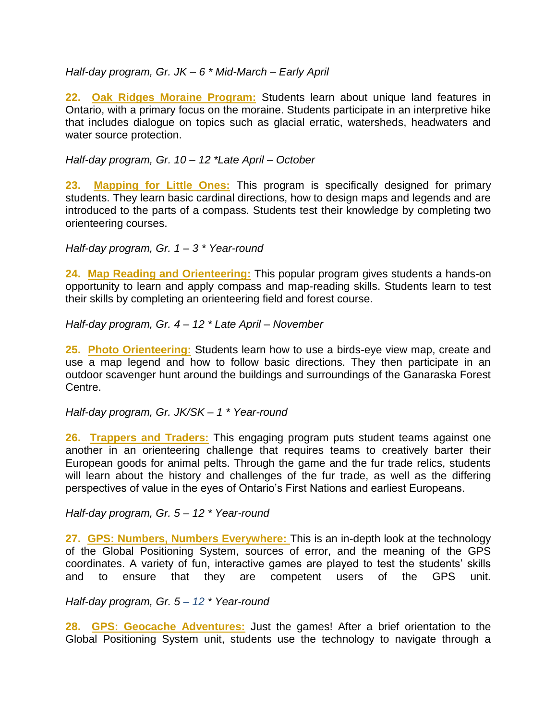*Half-day program, Gr. JK – 6 \* Mid-March – Early April*

**22. Oak Ridges Moraine Program:** Students learn about unique land features in Ontario, with a primary focus on the moraine. Students participate in an interpretive hike that includes dialogue on topics such as glacial erratic, watersheds, headwaters and water source protection.

*Half-day program, Gr. 10 – 12 \*Late April – October*

**23. Mapping for Little Ones:** This program is specifically designed for primary students. They learn basic cardinal directions, how to design maps and legends and are introduced to the parts of a compass. Students test their knowledge by completing two orienteering courses.

*Half-day program, Gr. 1 – 3 \* Year-round*

**24. Map Reading and Orienteering:** This popular program gives students a hands-on opportunity to learn and apply compass and map-reading skills. Students learn to test their skills by completing an orienteering field and forest course.

*Half-day program, Gr. 4 – 12 \* Late April – November*

**25. Photo Orienteering:** Students learn how to use a birds-eye view map, create and use a map legend and how to follow basic directions. They then participate in an outdoor scavenger hunt around the buildings and surroundings of the Ganaraska Forest Centre.

*Half-day program, Gr. JK/SK – 1 \* Year-round*

**26. Trappers and Traders:** This engaging program puts student teams against one another in an orienteering challenge that requires teams to creatively barter their European goods for animal pelts. Through the game and the fur trade relics, students will learn about the history and challenges of the fur trade, as well as the differing perspectives of value in the eyes of Ontario's First Nations and earliest Europeans.

*Half-day program, Gr. 5 – 12 \* Year-round*

**27. GPS: Numbers, Numbers Everywhere:** This is an in-depth look at the technology of the Global Positioning System, sources of error, and the meaning of the GPS coordinates. A variety of fun, interactive games are played to test the students' skills and to ensure that they are competent users of the GPS unit.

*Half-day program, Gr. 5 – 12 \* Year-round* 

**28. GPS: Geocache Adventures:** Just the games! After a brief orientation to the Global Positioning System unit, students use the technology to navigate through a